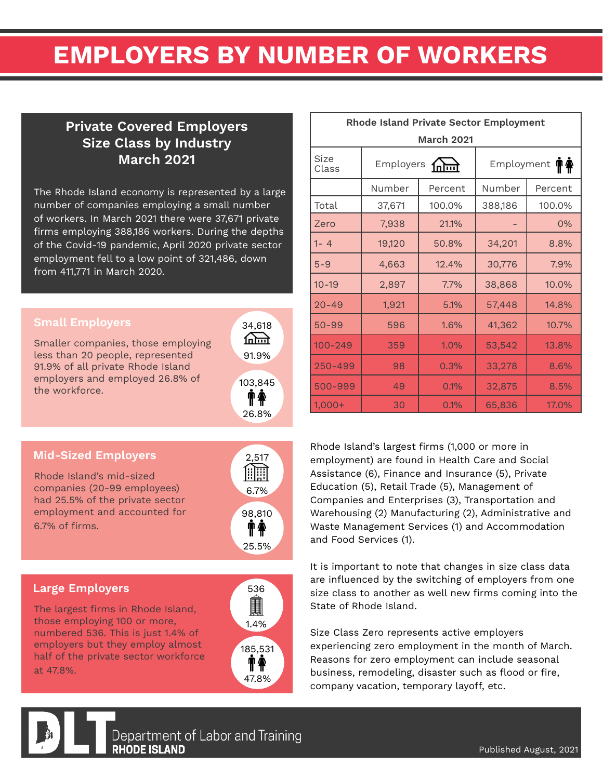# EMPLOYERS BY NUMBER OF WORKERS

### Private Covered Employers Size Class by Industry March 2021

The Rhode Island economy is represented by a large number of companies employing a small number of workers. In March 2021 there were 37,671 private firms employing 388,186 workers. During the depths of the Covid-19 pandemic, April 2020 private sector employment fell to a low point of 321,486, down from 411,771 in March 2020.

Smaller companies, those employing less than 20 people, represented 91.9% of all private Rhode Island employers and employed 26.8% of the workforce.



### Mid-Sized Employers

Rhode Island's mid-sized companies (20-99 employees) had 25.5% of the private sector employment and accounted for 6.7% of firms.

## 2,517 <u>An</u> 6.7% 98,810  $\mathbf{\hat{T}}$ 25.5%

### Large Employers

The largest firms in Rhode Island, those employing 100 or more, numbered 536. This is just 1.4% of employers but they employ almost half of the private sector workforce at 47.8%.



| <b>Rhode Island Private Sector Employment</b> |           |         |                   |         |  |  |  |  |  |  |  |
|-----------------------------------------------|-----------|---------|-------------------|---------|--|--|--|--|--|--|--|
| <b>March 2021</b>                             |           |         |                   |         |  |  |  |  |  |  |  |
| Size<br>Class                                 | Employers |         | Employment<br>T f |         |  |  |  |  |  |  |  |
|                                               | Number    | Percent | Number            | Percent |  |  |  |  |  |  |  |
| Total                                         | 37,671    | 100.0%  | 388,186           | 100.0%  |  |  |  |  |  |  |  |
| Zero                                          | 7,938     | 21.1%   |                   | 0%      |  |  |  |  |  |  |  |
| $1 - 4$                                       | 19,120    | 50.8%   | 34,201            | 8.8%    |  |  |  |  |  |  |  |
| $5 - 9$                                       | 4,663     | 12.4%   | 30,776            | 7.9%    |  |  |  |  |  |  |  |
| $10 - 19$                                     | 2,897     | 7.7%    | 38,868            | 10.0%   |  |  |  |  |  |  |  |
| $20 - 49$                                     | 1,921     | 5.1%    | 57,448            | 14.8%   |  |  |  |  |  |  |  |
| $50 - 99$                                     | 596       | 1.6%    | 41,362            | 10.7%   |  |  |  |  |  |  |  |
| $100 - 249$                                   | 359       | 1.0%    | 53,542            | 13.8%   |  |  |  |  |  |  |  |
| 250-499                                       | 98        | 0.3%    | 33,278            | 8.6%    |  |  |  |  |  |  |  |
| 500-999                                       | 49        | 0.1%    | 32,875            | 8.5%    |  |  |  |  |  |  |  |
| $1,000+$                                      | 30        | 0.1%    | 65,836            | 17.0%   |  |  |  |  |  |  |  |

Rhode Island's largest firms (1,000 or more in employment) are found in Health Care and Social Assistance (6), Finance and Insurance (5), Private Education (5), Retail Trade (5), Management of Companies and Enterprises (3), Transportation and Warehousing (2) Manufacturing (2), Administrative and Waste Management Services (1) and Accommodation and Food Services (1).

It is important to note that changes in size class data are influenced by the switching of employers from one size class to another as well new firms coming into the State of Rhode Island.

Size Class Zero represents active employers experiencing zero employment in the month of March. Reasons for zero employment can include seasonal business, remodeling, disaster such as flood or fire, company vacation, temporary layoff, etc.



Department of Labor and Training **RHODE ISLAND**